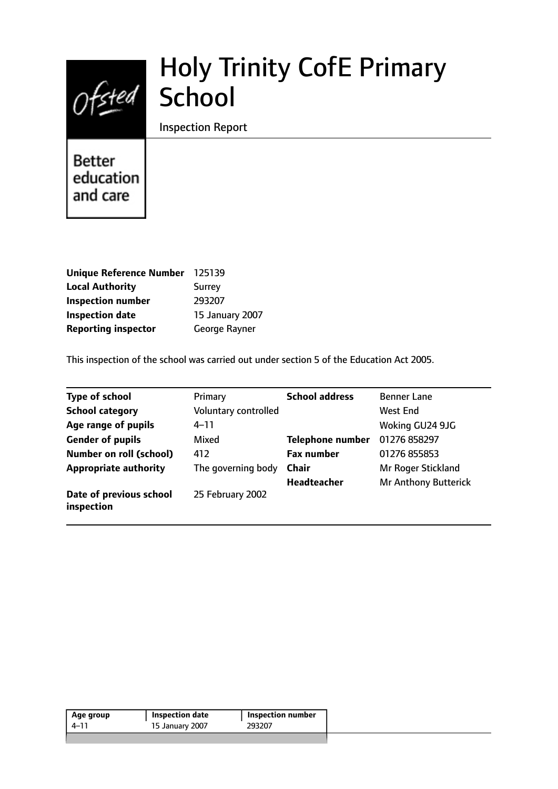

# Holy Trinity CofE Primary

Inspection Report

**Better** education and care

| <b>Unique Reference Number</b> | 125139          |
|--------------------------------|-----------------|
| <b>Local Authority</b>         | <b>Surrey</b>   |
| <b>Inspection number</b>       | 293207          |
| <b>Inspection date</b>         | 15 January 2007 |
| <b>Reporting inspector</b>     | George Rayner   |

This inspection of the school was carried out under section 5 of the Education Act 2005.

| <b>Type of school</b>                 | Primary              | <b>School address</b>   | <b>Benner Lane</b>   |
|---------------------------------------|----------------------|-------------------------|----------------------|
| <b>School category</b>                | Voluntary controlled |                         | West End             |
| Age range of pupils                   | $4 - 11$             |                         | Woking GU24 9JG      |
| <b>Gender of pupils</b>               | Mixed                | <b>Telephone number</b> | 01276 858297         |
| <b>Number on roll (school)</b>        | 412                  | <b>Fax number</b>       | 01276 855853         |
| <b>Appropriate authority</b>          | The governing body   | <b>Chair</b>            | Mr Roger Stickland   |
|                                       |                      | <b>Headteacher</b>      | Mr Anthony Butterick |
| Date of previous school<br>inspection | 25 February 2002     |                         |                      |

| 293207<br>4–11<br>15 January 2007 | Age group | Inspection date | <b>Inspection number</b> |
|-----------------------------------|-----------|-----------------|--------------------------|
|                                   |           |                 |                          |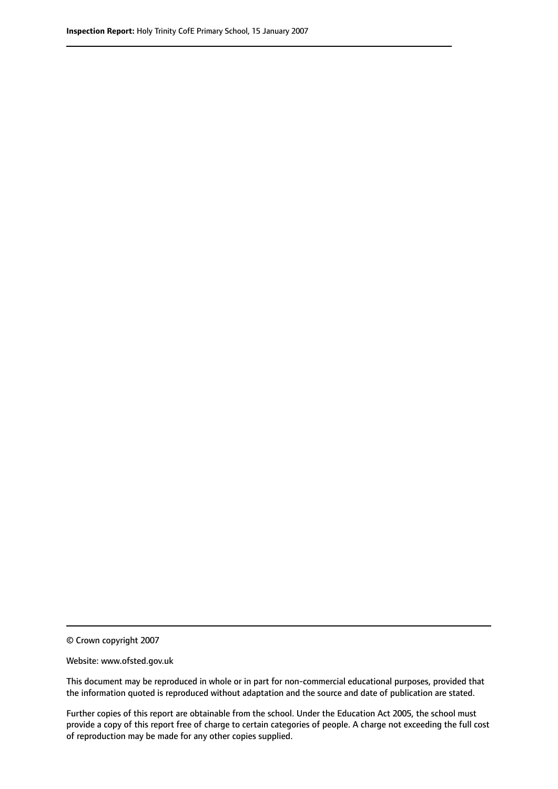© Crown copyright 2007

Website: www.ofsted.gov.uk

This document may be reproduced in whole or in part for non-commercial educational purposes, provided that the information quoted is reproduced without adaptation and the source and date of publication are stated.

Further copies of this report are obtainable from the school. Under the Education Act 2005, the school must provide a copy of this report free of charge to certain categories of people. A charge not exceeding the full cost of reproduction may be made for any other copies supplied.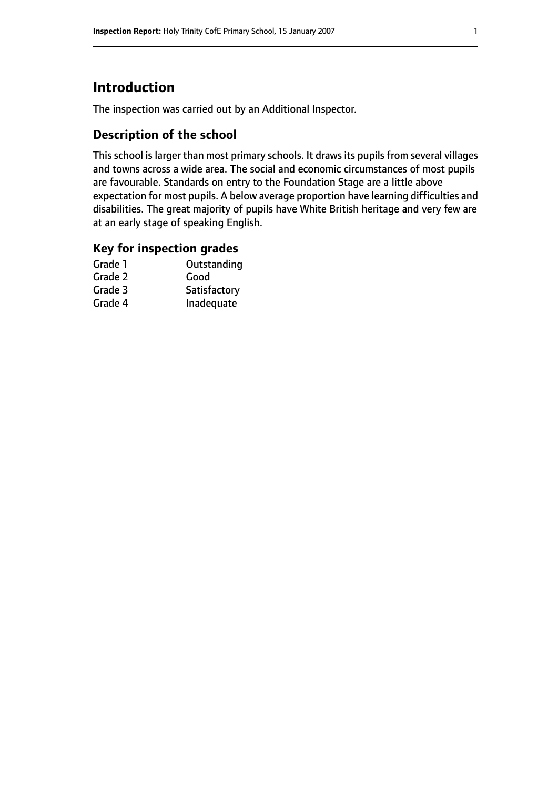# **Introduction**

The inspection was carried out by an Additional Inspector.

## **Description of the school**

This school is larger than most primary schools. It draws its pupils from several villages and towns across a wide area. The social and economic circumstances of most pupils are favourable. Standards on entry to the Foundation Stage are a little above expectation for most pupils. A below average proportion have learning difficulties and disabilities. The great majority of pupils have White British heritage and very few are at an early stage of speaking English.

#### **Key for inspection grades**

| Outstanding  |
|--------------|
| Good         |
| Satisfactory |
| Inadequate   |
|              |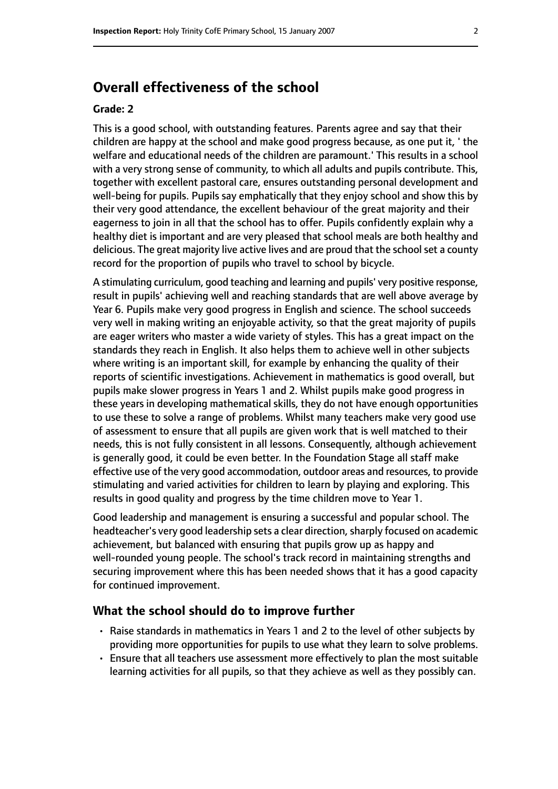# **Overall effectiveness of the school**

#### **Grade: 2**

This is a good school, with outstanding features. Parents agree and say that their children are happy at the school and make good progress because, as one put it, ' the welfare and educational needs of the children are paramount.' This results in a school with a very strong sense of community, to which all adults and pupils contribute. This, together with excellent pastoral care, ensures outstanding personal development and well-being for pupils. Pupils say emphatically that they enjoy school and show this by their very good attendance, the excellent behaviour of the great majority and their eagerness to join in all that the school has to offer. Pupils confidently explain why a healthy diet is important and are very pleased that school meals are both healthy and delicious. The great majority live active lives and are proud that the school set a county record for the proportion of pupils who travel to school by bicycle.

A stimulating curriculum, good teaching and learning and pupils' very positive response, result in pupils' achieving well and reaching standards that are well above average by Year 6. Pupils make very good progress in English and science. The school succeeds very well in making writing an enjoyable activity, so that the great majority of pupils are eager writers who master a wide variety of styles. This has a great impact on the standards they reach in English. It also helps them to achieve well in other subjects where writing is an important skill, for example by enhancing the quality of their reports of scientific investigations. Achievement in mathematics is good overall, but pupils make slower progress in Years 1 and 2. Whilst pupils make good progress in these years in developing mathematical skills, they do not have enough opportunities to use these to solve a range of problems. Whilst many teachers make very good use of assessment to ensure that all pupils are given work that is well matched to their needs, this is not fully consistent in all lessons. Consequently, although achievement is generally good, it could be even better. In the Foundation Stage all staff make effective use of the very good accommodation, outdoor areas and resources, to provide stimulating and varied activities for children to learn by playing and exploring. This results in good quality and progress by the time children move to Year 1.

Good leadership and management is ensuring a successful and popular school. The headteacher's very good leadership sets a clear direction, sharply focused on academic achievement, but balanced with ensuring that pupils grow up as happy and well-rounded young people. The school's track record in maintaining strengths and securing improvement where this has been needed shows that it has a good capacity for continued improvement.

#### **What the school should do to improve further**

- Raise standards in mathematics in Years 1 and 2 to the level of other subjects by providing more opportunities for pupils to use what they learn to solve problems.
- Ensure that all teachers use assessment more effectively to plan the most suitable learning activities for all pupils, so that they achieve as well as they possibly can.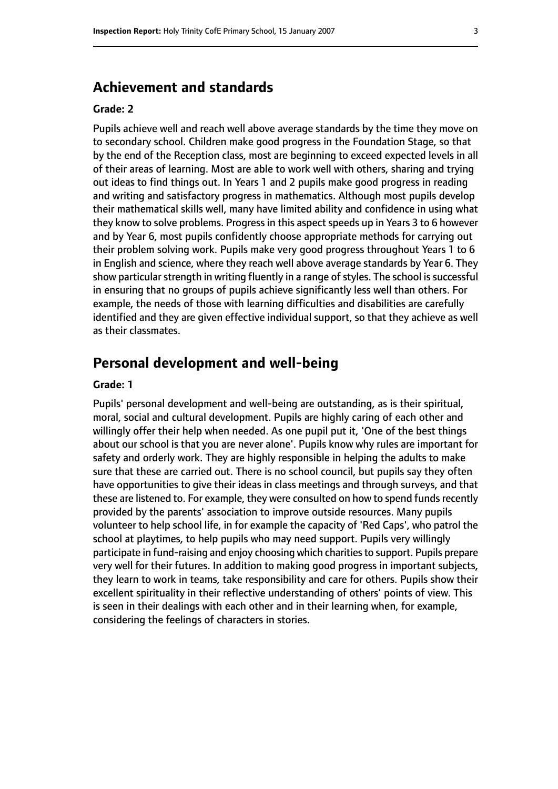## **Achievement and standards**

#### **Grade: 2**

Pupils achieve well and reach well above average standards by the time they move on to secondary school. Children make good progress in the Foundation Stage, so that by the end of the Reception class, most are beginning to exceed expected levels in all of their areas of learning. Most are able to work well with others, sharing and trying out ideas to find things out. In Years 1 and 2 pupils make good progress in reading and writing and satisfactory progress in mathematics. Although most pupils develop their mathematical skills well, many have limited ability and confidence in using what they know to solve problems. Progress in this aspect speeds up in Years 3 to 6 however and by Year 6, most pupils confidently choose appropriate methods for carrying out their problem solving work. Pupils make very good progress throughout Years 1 to 6 in English and science, where they reach well above average standards by Year 6. They show particular strength in writing fluently in a range of styles. The school is successful in ensuring that no groups of pupils achieve significantly less well than others. For example, the needs of those with learning difficulties and disabilities are carefully identified and they are given effective individual support, so that they achieve as well as their classmates.

#### **Personal development and well-being**

#### **Grade: 1**

Pupils' personal development and well-being are outstanding, as is their spiritual, moral, social and cultural development. Pupils are highly caring of each other and willingly offer their help when needed. As one pupil put it, 'One of the best things about our school is that you are never alone'. Pupils know why rules are important for safety and orderly work. They are highly responsible in helping the adults to make sure that these are carried out. There is no school council, but pupils say they often have opportunities to give their ideas in class meetings and through surveys, and that these are listened to. For example, they were consulted on how to spend funds recently provided by the parents' association to improve outside resources. Many pupils volunteer to help school life, in for example the capacity of 'Red Caps', who patrol the school at playtimes, to help pupils who may need support. Pupils very willingly participate in fund-raising and enjoy choosing which charities to support. Pupils prepare very well for their futures. In addition to making good progress in important subjects, they learn to work in teams, take responsibility and care for others. Pupils show their excellent spirituality in their reflective understanding of others' points of view. This is seen in their dealings with each other and in their learning when, for example, considering the feelings of characters in stories.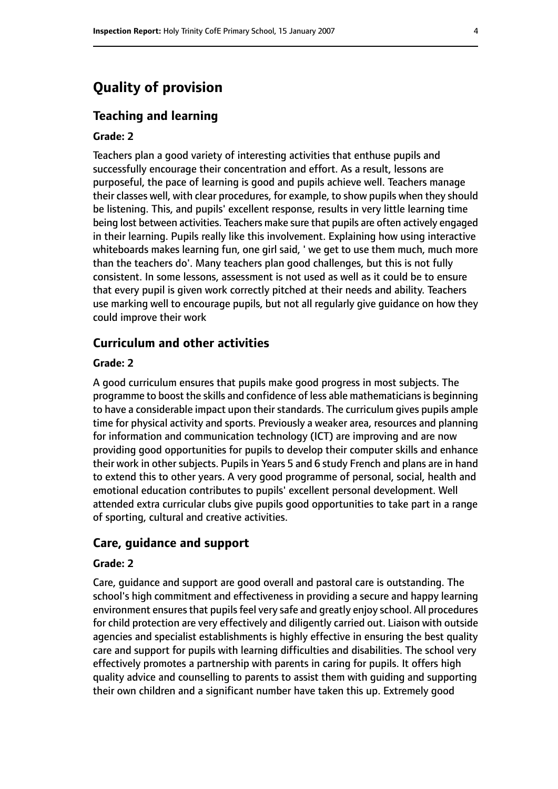# **Quality of provision**

#### **Teaching and learning**

#### **Grade: 2**

Teachers plan a good variety of interesting activities that enthuse pupils and successfully encourage their concentration and effort. As a result, lessons are purposeful, the pace of learning is good and pupils achieve well. Teachers manage their classes well, with clear procedures, for example, to show pupils when they should be listening. This, and pupils' excellent response, results in very little learning time being lost between activities. Teachers make sure that pupils are often actively engaged in their learning. Pupils really like this involvement. Explaining how using interactive whiteboards makes learning fun, one girl said, ' we get to use them much, much more than the teachers do'. Many teachers plan good challenges, but this is not fully consistent. In some lessons, assessment is not used as well as it could be to ensure that every pupil is given work correctly pitched at their needs and ability. Teachers use marking well to encourage pupils, but not all regularly give guidance on how they could improve their work

#### **Curriculum and other activities**

#### **Grade: 2**

A good curriculum ensures that pupils make good progress in most subjects. The programme to boost the skills and confidence of less able mathematicians is beginning to have a considerable impact upon their standards. The curriculum gives pupils ample time for physical activity and sports. Previously a weaker area, resources and planning for information and communication technology (ICT) are improving and are now providing good opportunities for pupils to develop their computer skills and enhance their work in other subjects. Pupils in Years 5 and 6 study French and plans are in hand to extend this to other years. A very good programme of personal, social, health and emotional education contributes to pupils' excellent personal development. Well attended extra curricular clubs give pupils good opportunities to take part in a range of sporting, cultural and creative activities.

#### **Care, guidance and support**

#### **Grade: 2**

Care, guidance and support are good overall and pastoral care is outstanding. The school's high commitment and effectiveness in providing a secure and happy learning environment ensures that pupils feel very safe and greatly enjoy school. All procedures for child protection are very effectively and diligently carried out. Liaison with outside agencies and specialist establishments is highly effective in ensuring the best quality care and support for pupils with learning difficulties and disabilities. The school very effectively promotes a partnership with parents in caring for pupils. It offers high quality advice and counselling to parents to assist them with guiding and supporting their own children and a significant number have taken this up. Extremely good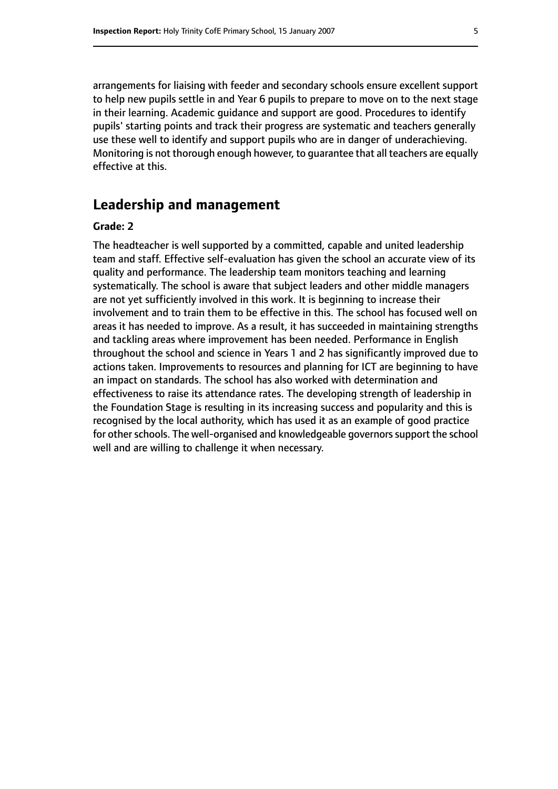arrangements for liaising with feeder and secondary schools ensure excellent support to help new pupils settle in and Year 6 pupils to prepare to move on to the next stage in their learning. Academic guidance and support are good. Procedures to identify pupils' starting points and track their progress are systematic and teachers generally use these well to identify and support pupils who are in danger of underachieving. Monitoring is not thorough enough however, to guarantee that all teachers are equally effective at this.

# **Leadership and management**

#### **Grade: 2**

The headteacher is well supported by a committed, capable and united leadership team and staff. Effective self-evaluation has given the school an accurate view of its quality and performance. The leadership team monitors teaching and learning systematically. The school is aware that subject leaders and other middle managers are not yet sufficiently involved in this work. It is beginning to increase their involvement and to train them to be effective in this. The school has focused well on areas it has needed to improve. As a result, it has succeeded in maintaining strengths and tackling areas where improvement has been needed. Performance in English throughout the school and science in Years 1 and 2 has significantly improved due to actions taken. Improvements to resources and planning for ICT are beginning to have an impact on standards. The school has also worked with determination and effectiveness to raise its attendance rates. The developing strength of leadership in the Foundation Stage is resulting in its increasing success and popularity and this is recognised by the local authority, which has used it as an example of good practice for other schools. The well-organised and knowledgeable governors support the school well and are willing to challenge it when necessary.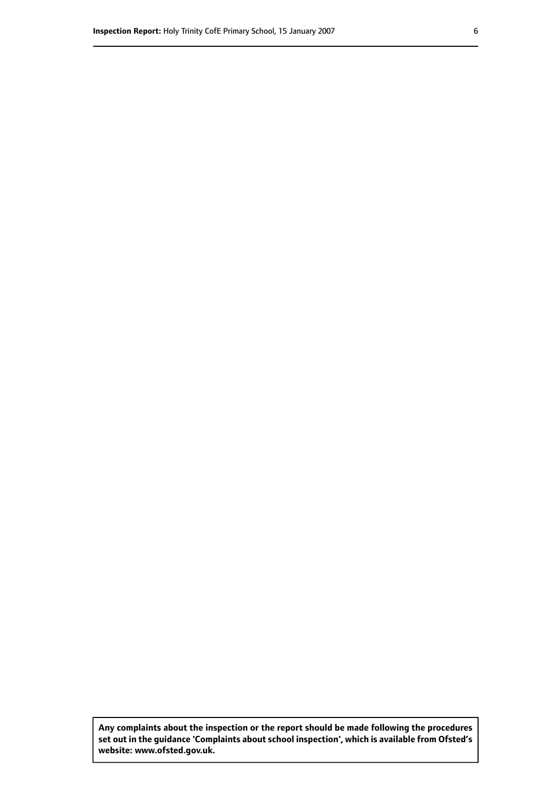**Any complaints about the inspection or the report should be made following the procedures set out inthe guidance 'Complaints about school inspection', whichis available from Ofsted's website: www.ofsted.gov.uk.**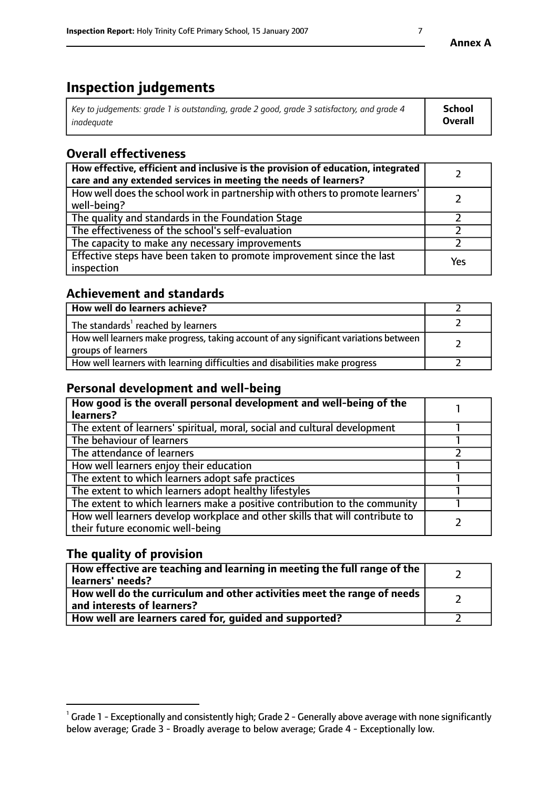# **Inspection judgements**

| Key to judgements: grade 1 is outstanding, grade 2 good, grade 3 satisfactory, and grade 4 | <b>School</b>  |
|--------------------------------------------------------------------------------------------|----------------|
| inadeauate                                                                                 | <b>Overall</b> |

# **Overall effectiveness**

| How effective, efficient and inclusive is the provision of education, integrated<br>care and any extended services in meeting the needs of learners? |     |
|------------------------------------------------------------------------------------------------------------------------------------------------------|-----|
| How well does the school work in partnership with others to promote learners'<br>well-being?                                                         |     |
| The quality and standards in the Foundation Stage                                                                                                    |     |
| The effectiveness of the school's self-evaluation                                                                                                    |     |
| The capacity to make any necessary improvements                                                                                                      |     |
| Effective steps have been taken to promote improvement since the last<br>inspection                                                                  | Yes |

## **Achievement and standards**

| How well do learners achieve?                                                                               |  |
|-------------------------------------------------------------------------------------------------------------|--|
| The standards <sup>1</sup> reached by learners                                                              |  |
| How well learners make progress, taking account of any significant variations between<br>groups of learners |  |
| How well learners with learning difficulties and disabilities make progress                                 |  |

## **Personal development and well-being**

| How good is the overall personal development and well-being of the<br>learners?                                  |  |
|------------------------------------------------------------------------------------------------------------------|--|
| The extent of learners' spiritual, moral, social and cultural development                                        |  |
| The behaviour of learners                                                                                        |  |
| The attendance of learners                                                                                       |  |
| How well learners enjoy their education                                                                          |  |
| The extent to which learners adopt safe practices                                                                |  |
| The extent to which learners adopt healthy lifestyles                                                            |  |
| The extent to which learners make a positive contribution to the community                                       |  |
| How well learners develop workplace and other skills that will contribute to<br>their future economic well-being |  |

## **The quality of provision**

| How effective are teaching and learning in meeting the full range of the<br>learners' needs?          |  |
|-------------------------------------------------------------------------------------------------------|--|
| How well do the curriculum and other activities meet the range of needs<br>and interests of learners? |  |
| How well are learners cared for, guided and supported?                                                |  |

 $^1$  Grade 1 - Exceptionally and consistently high; Grade 2 - Generally above average with none significantly below average; Grade 3 - Broadly average to below average; Grade 4 - Exceptionally low.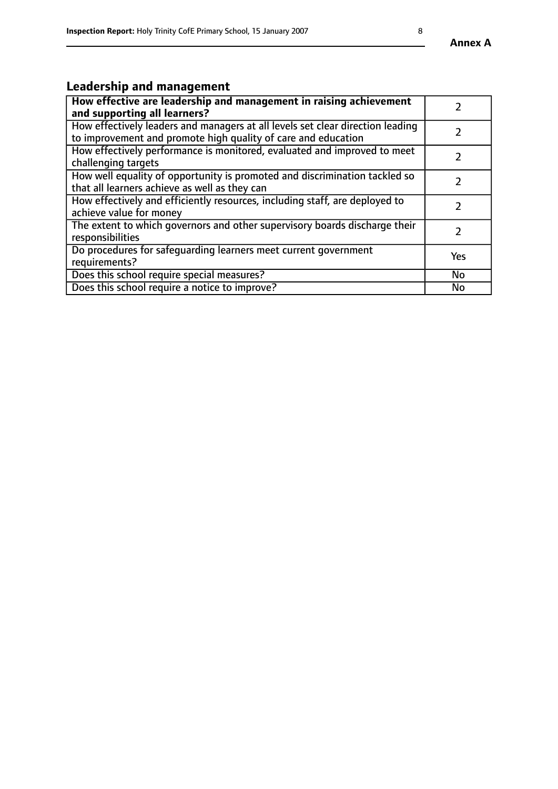# **Leadership and management**

| How effective are leadership and management in raising achievement<br>and supporting all learners?                                              |           |
|-------------------------------------------------------------------------------------------------------------------------------------------------|-----------|
| How effectively leaders and managers at all levels set clear direction leading<br>to improvement and promote high quality of care and education |           |
| How effectively performance is monitored, evaluated and improved to meet<br>challenging targets                                                 |           |
| How well equality of opportunity is promoted and discrimination tackled so<br>that all learners achieve as well as they can                     |           |
| How effectively and efficiently resources, including staff, are deployed to<br>achieve value for money                                          |           |
| The extent to which governors and other supervisory boards discharge their<br>responsibilities                                                  |           |
| Do procedures for safequarding learners meet current government<br>requirements?                                                                | Yes       |
| Does this school require special measures?                                                                                                      | No        |
| Does this school require a notice to improve?                                                                                                   | <b>No</b> |